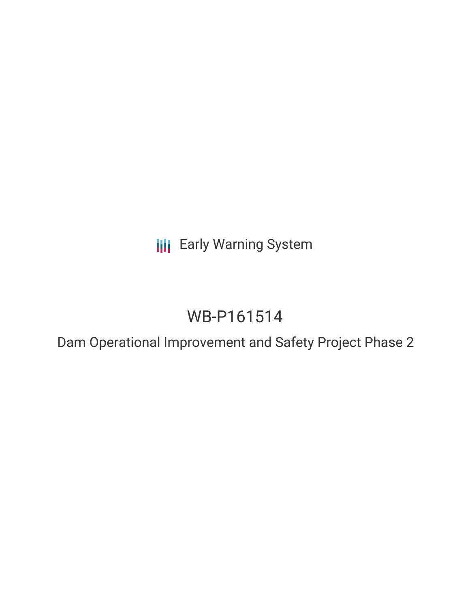**III** Early Warning System

# WB-P161514

Dam Operational Improvement and Safety Project Phase 2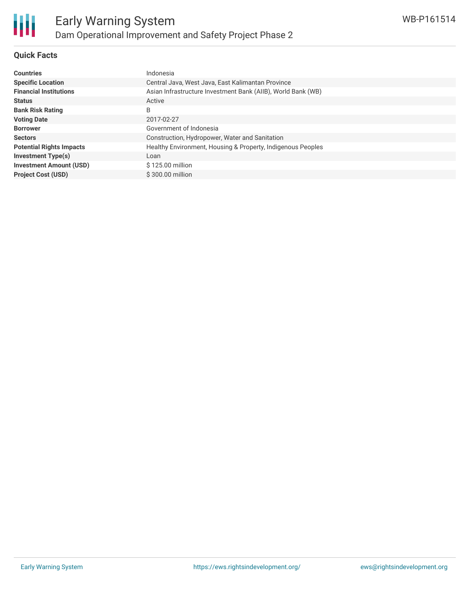

### **Quick Facts**

| <b>Countries</b>                | Indonesia                                                    |
|---------------------------------|--------------------------------------------------------------|
| <b>Specific Location</b>        | Central Java, West Java, East Kalimantan Province            |
| <b>Financial Institutions</b>   | Asian Infrastructure Investment Bank (AIIB), World Bank (WB) |
| <b>Status</b>                   | Active                                                       |
| <b>Bank Risk Rating</b>         | B                                                            |
| <b>Voting Date</b>              | 2017-02-27                                                   |
| <b>Borrower</b>                 | Government of Indonesia                                      |
| <b>Sectors</b>                  | Construction, Hydropower, Water and Sanitation               |
| <b>Potential Rights Impacts</b> | Healthy Environment, Housing & Property, Indigenous Peoples  |
| <b>Investment Type(s)</b>       | Loan                                                         |
| <b>Investment Amount (USD)</b>  | \$125.00 million                                             |
| <b>Project Cost (USD)</b>       | \$300.00 million                                             |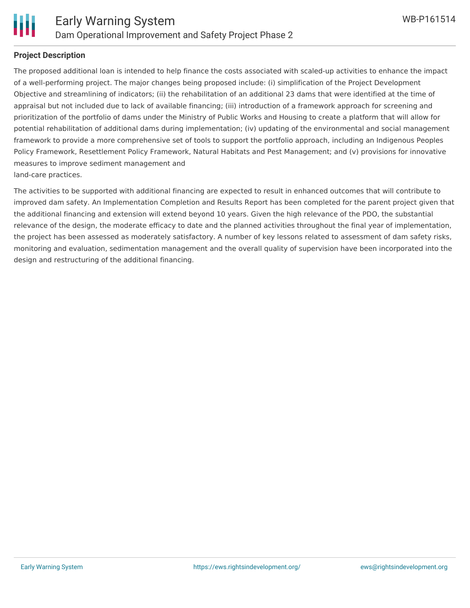

#### **Project Description**

The proposed additional loan is intended to help finance the costs associated with scaled-up activities to enhance the impact of a well-performing project. The major changes being proposed include: (i) simplification of the Project Development Objective and streamlining of indicators; (ii) the rehabilitation of an additional 23 dams that were identified at the time of appraisal but not included due to lack of available financing; (iii) introduction of a framework approach for screening and prioritization of the portfolio of dams under the Ministry of Public Works and Housing to create a platform that will allow for potential rehabilitation of additional dams during implementation; (iv) updating of the environmental and social management framework to provide a more comprehensive set of tools to support the portfolio approach, including an Indigenous Peoples Policy Framework, Resettlement Policy Framework, Natural Habitats and Pest Management; and (v) provisions for innovative measures to improve sediment management and land-care practices.

The activities to be supported with additional financing are expected to result in enhanced outcomes that will contribute to improved dam safety. An Implementation Completion and Results Report has been completed for the parent project given that the additional financing and extension will extend beyond 10 years. Given the high relevance of the PDO, the substantial relevance of the design, the moderate efficacy to date and the planned activities throughout the final year of implementation, the project has been assessed as moderately satisfactory. A number of key lessons related to assessment of dam safety risks, monitoring and evaluation, sedimentation management and the overall quality of supervision have been incorporated into the design and restructuring of the additional financing.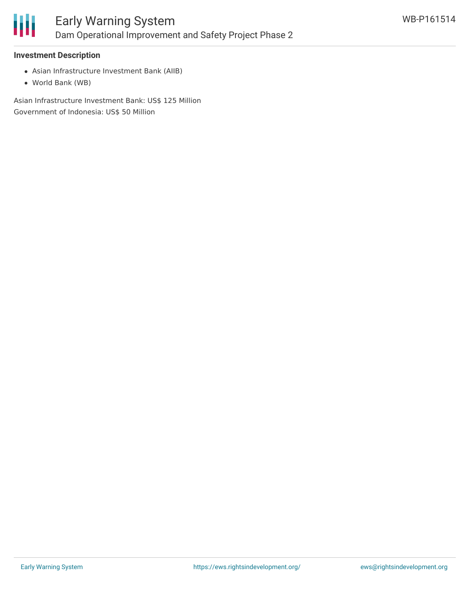

#### **Investment Description**

- Asian Infrastructure Investment Bank (AIIB)
- World Bank (WB)

Asian Infrastructure Investment Bank: US\$ 125 Million Government of Indonesia: US\$ 50 Million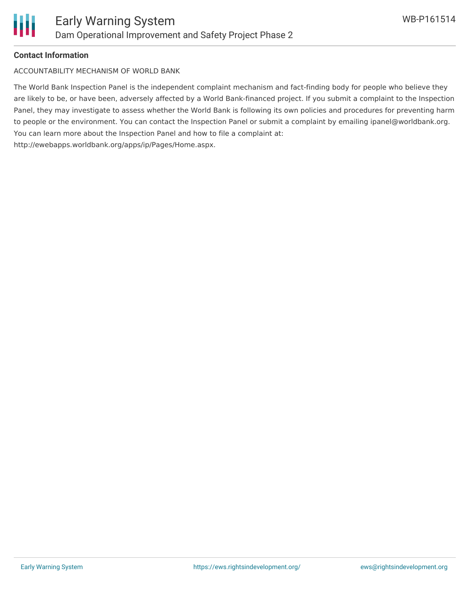

#### **Contact Information**

ACCOUNTABILITY MECHANISM OF WORLD BANK

The World Bank Inspection Panel is the independent complaint mechanism and fact-finding body for people who believe they are likely to be, or have been, adversely affected by a World Bank-financed project. If you submit a complaint to the Inspection Panel, they may investigate to assess whether the World Bank is following its own policies and procedures for preventing harm to people or the environment. You can contact the Inspection Panel or submit a complaint by emailing ipanel@worldbank.org. You can learn more about the Inspection Panel and how to file a complaint at: http://ewebapps.worldbank.org/apps/ip/Pages/Home.aspx.